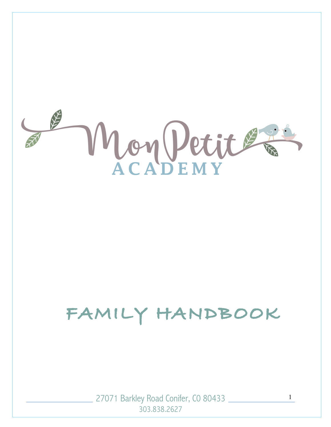

# **FAMILY HANDBOOK**

27071 Barkley Road Conifer, CO 80433 2001 12020 303.838.2627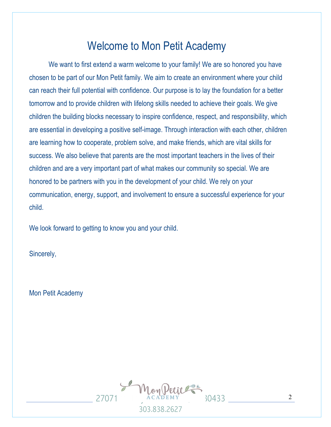## Welcome to Mon Petit Academy

We want to first extend a warm welcome to your family! We are so honored you have chosen to be part of our Mon Petit family. We aim to create an environment where your child can reach their full potential with confidence. Our purpose is to lay the foundation for a better tomorrow and to provide children with lifelong skills needed to achieve their goals. We give children the building blocks necessary to inspire confidence, respect, and responsibility, which are essential in developing a positive self-image. Through interaction with each other, children are learning how to cooperate, problem solve, and make friends, which are vital skills for success. We also believe that parents are the most important teachers in the lives of their children and are a very important part of what makes our community so special. We are honored to be partners with you in the development of your child. We rely on your communication, energy, support, and involvement to ensure a successful experience for your child.

We look forward to getting to know you and your child.

Sincerely,

Mon Petit Academy

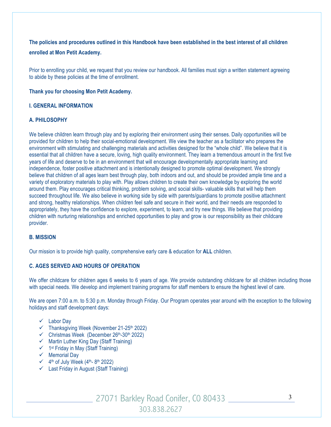### **The policies and procedures outlined in this Handbook have been established in the best interest of all children enrolled at Mon Petit Academy.**

Prior to enrolling your child, we request that you review our handbook. All families must sign a written statement agreeing to abide by these policies at the time of enrollment.

#### **Thank you for choosing Mon Petit Academy.**

#### **I. GENERAL INFORMATION**

#### **A. PHILOSOPHY**

We believe children learn through play and by exploring their environment using their senses. Daily opportunities will be provided for children to help their social-emotional development. We view the teacher as a facilitator who prepares the environment with stimulating and challenging materials and activities designed for the "whole child". We believe that it is essential that all children have a secure, loving, high quality environment. They learn a tremendous amount in the first five years of life and deserve to be in an environment that will encourage developmentally appropriate learning and independence, foster positive attachment and is intentionally designed to promote optimal development. We strongly believe that children of all ages learn best through play, both indoors and out, and should be provided ample time and a variety of exploratory materials to play with. Play allows children to create their own knowledge by exploring the world around them. Play encourages critical thinking, problem solving, and social skills- valuable skills that will help them succeed throughout life. We also believe in working side by side with parents/guardians to promote positive attachment and strong, healthy relationships. When children feel safe and secure in their world, and their needs are responded to appropriately, they have the confidence to explore, experiment, to learn, and try new things. We believe that providing children with nurturing relationships and enriched opportunities to play and grow is our responsibility as their childcare provider.

#### **B. MISSION**

Our mission is to provide high quality, comprehensive early care & education for **ALL** children.

#### **C. AGES SERVED AND HOURS OF OPERATION**

We offer childcare for children ages 6 weeks to 6 years of age. We provide outstanding childcare for all children including those with special needs. We develop and implement training programs for staff members to ensure the highest level of care.

We are open 7:00 a.m. to 5:30 p.m. Monday through Friday. Our Program operates year around with the exception to the following holidays and staff development days:

- $\checkmark$  Labor Dav
- $\checkmark$  Thanksgiving Week (November 21-25<sup>th</sup> 2022)
- $\checkmark$  Christmas Week (December 26<sup>th</sup>-30<sup>th</sup> 2022)
- $\checkmark$  Martin Luther King Day (Staff Training)
- $\checkmark$  1<sup>st</sup> Friday in May (Staff Training)
- $\checkmark$  Memorial Day
- $\checkmark$  4<sup>th</sup> of July Week (4<sup>th</sup>- 8<sup>th</sup> 2022)
- $\checkmark$  Last Friday in August (Staff Training)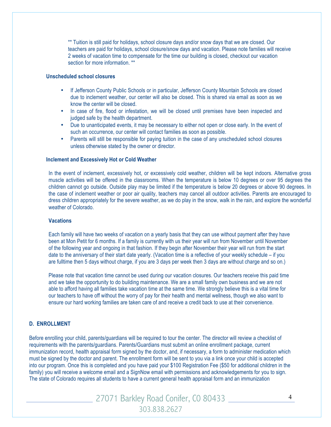\*\* Tuition is still paid for holidays, school closure days and/or snow days that we are closed. Our teachers are paid for holidays, school closure/snow days and vacation. Please note families will receive 2 weeks of vacation time to compensate for the time our building is closed, checkout our vacation section for more information. \*\*

#### **Unscheduled school closures**

- If Jefferson County Public Schools or in particular, Jefferson County Mountain Schools are closed due to inclement weather, our center will also be closed. This is shared via email as soon as we know the center will be closed.
- In case of fire, flood or infestation, we will be closed until premises have been inspected and judged safe by the health department.
- Due to unanticipated events, it may be necessary to either not open or close early. In the event of such an occurrence, our center will contact families as soon as possible.
- Parents will still be responsible for paying tuition in the case of any unscheduled school closures unless otherwise stated by the owner or director.

#### **Inclement and Excessively Hot or Cold Weather**

In the event of inclement, excessively hot, or excessively cold weather, children will be kept indoors. Alternative gross muscle activities will be offered in the classrooms. When the temperature is below 10 degrees or over 95 degrees the children cannot go outside. Outside play may be limited if the temperature is below 20 degrees or above 90 degrees. In the case of inclement weather or poor air quality, teachers may cancel all outdoor activities. Parents are encouraged to dress children appropriately for the severe weather, as we do play in the snow, walk in the rain, and explore the wonderful weather of Colorado.

#### **Vacations**

Each family will have two weeks of vacation on a yearly basis that they can use without payment after they have been at Mon Petit for 6 months. If a family is currently with us their year will run from November until November of the following year and ongoing in that fashion. If they begin after November their year will run from the start date to the anniversary of their start date yearly. (Vacation time is a reflective of your weekly schedule – if you are fulltime then 5 days without charge, if you are 3 days per week then 3 days are without charge and so on.)

Please note that vacation time cannot be used during our vacation closures. Our teachers receive this paid time and we take the opportunity to do building maintenance. We are a small family own business and we are not able to afford having all families take vacation time at the same time. We strongly believe this is a vital time for our teachers to have off without the worry of pay for their health and mental wellness, though we also want to ensure our hard working families are taken care of and receive a credit back to use at their convenience.

#### **D. ENROLLMENT**

Before enrolling your child, parents/guardians will be required to tour the center. The director will review a checklist of requirements with the parents/guardians. Parents/Guardians must submit an online enrollment package, current immunization record, health appraisal form signed by the doctor, and, if necessary, a form to administer medication which must be signed by the doctor and parent. The enrollment form will be sent to you via a link once your child is accepted into our program. Once this is completed and you have paid your \$100 Registration Fee (\$50 for additional children in the family) you will receive a welcome email and a SignNow email with permissions and acknowledgements for you to sign. The state of Colorado requires all students to have a current general health appraisal form and an immunization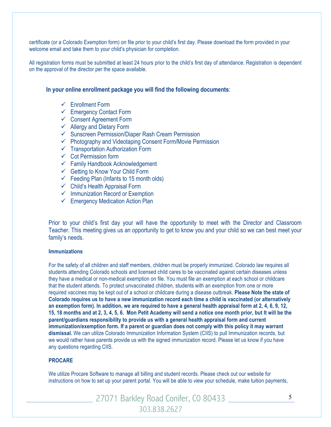certificate (or a Colorado Exemption form) on file prior to your child's first day. Please download the form provided in your welcome email and take them to your child's physician for completion.

All registration forms must be submitted at least 24 hours prior to the child's first day of attendance. Registration is dependent on the approval of the director per the space available.

#### **In your online enrollment package you will find the following documents**:

- $\checkmark$  Enrollment Form
- $\checkmark$  Emergency Contact Form
- $\checkmark$  Consent Agreement Form
- $\checkmark$  Allergy and Dietary Form
- $\checkmark$  Sunscreen Permission/Diaper Rash Cream Permission
- $\checkmark$  Photography and Videotaping Consent Form/Movie Permission
- $\checkmark$  Transportation Authorization Form
- $\checkmark$  Cot Permission form
- $\checkmark$  Family Handbook Acknowledgement
- $\checkmark$  Getting to Know Your Child Form
- $\checkmark$  Feeding Plan (Infants to 15 month olds)
- $\checkmark$  Child's Health Appraisal Form
- $\checkmark$  Immunization Record or Exemption
- $\checkmark$  Emergency Medication Action Plan

Prior to your child's first day your will have the opportunity to meet with the Director and Classroom Teacher. This meeting gives us an opportunity to get to know you and your child so we can best meet your family's needs.

#### **Immunizations**

For the safety of all children and staff members, children must be properly immunized. Colorado law requires all students attending Colorado schools and licensed child cares to be vaccinated against certain diseases unless they have a medical or non-medical exemption on file. You must file an exemption at each school or childcare that the student attends. To protect unvaccinated children, students with an exemption from one or more required vaccines may be kept out of a school or childcare during a disease outbreak. **Please Note the state of Colorado requires us to have a new immunization record each time a child is vaccinated (or alternatively an exemption form). In addition, we are required to have a general health appraisal form at 2, 4, 6, 9, 12, 15, 18 months and at 2, 3, 4, 5, 6. Mon Petit Academy will send a notice one month prior, but It will be the parent/guardians responsibility to provide us with a general health appraisal form and current immunization/exemption form. If a parent or guardian does not comply with this policy it may warrant dismissal.** We can utilize Colorado Immunization Information System (CIIS) to pull Immunization records, but we would rather have parents provide us with the signed immunization record. Please let us know if you have any questions regarding CIIS.

#### **PROCARE**

We utilize Procare Software to manage all billing and student records. Please check out our website for instructions on how to set up your parent portal. You will be able to view your schedule, make tuition payments,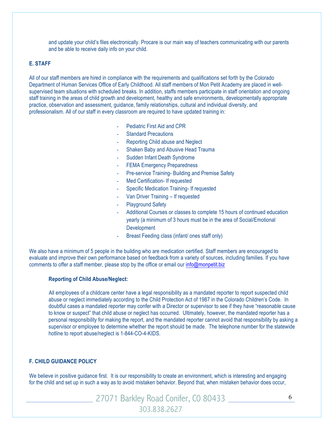and update your child's files electronically. Procare is our main way of teachers communicating with our parents and be able to receive daily info on your child.

#### **E. STAFF**

All of our staff members are hired in compliance with the requirements and qualifications set forth by the Colorado Department of Human Services Office of Early Childhood. All staff members of Mon Petit Academy are placed in wellsupervised team situations with scheduled breaks. In addition, staffs members participate in staff orientation and ongoing staff training in the areas of child growth and development, healthy and safe environments, developmentally appropriate practice, observation and assessment, guidance, family relationships, cultural and individual diversity, and professionalism. All of our staff in every classroom are required to have updated training in:

- Pediatric First Aid and CPR
- **Standard Precautions**
- Reporting Child abuse and Neglect
- Shaken Baby and Abusive Head Trauma
- Sudden Infant Death Syndrome
- FEMA Emergency Preparedness
- Pre-service Training- Building and Premise Safety
- Med Certification- If requested
- Specific Medication Training- If requested
- Van Driver Training If requested
- Playground Safety
- Additional Courses or classes to complete 15 hours of continued education yearly (a minimum of 3 hours must be in the area of Social/Emotional **Development**
- Breast Feeding class (infant/ ones staff only)

We also have a minimum of 5 people in the building who are medication certified. Staff members are encouraged to evaluate and improve their own performance based on feedback from a variety of sources, including families. If you have comments to offer a staff member, please stop by the office or email our info@monpetit.biz

#### **Reporting of Child Abuse/Neglect:**

All employees of a childcare center have a legal responsibility as a mandated reporter to report suspected child abuse or neglect immediately according to the Child Protection Act of 1987 in the Colorado Children's Code. In doubtful cases a mandated reporter may confer with a Director or supervisor to see if they have "reasonable cause to know or suspect" that child abuse or neglect has occurred. Ultimately, however, the mandated reporter has a personal responsibility for making the report, and the mandated reporter cannot avoid that responsibility by asking a supervisor or employee to determine whether the report should be made. The telephone number for the statewide hotline to report abuse/neglect is 1-844-CO-4-KIDS.

#### **F. CHILD GUIDANCE POLICY**

We believe in positive quidance first. It is our responsibility to create an environment, which is interesting and engaging for the child and set up in such a way as to avoid mistaken behavior. Beyond that, when mistaken behavior does occur,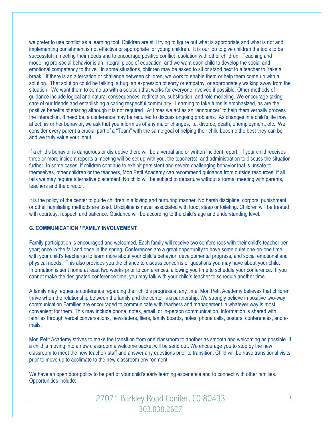we prefer to use conflict as a learning tool. Children are still trying to figure out what is appropriate and what is not and implementing punishment is not effective or appropriate for young children. It is our job to give children the tools to be successful in meeting their needs and to encourage positive conflict resolution with other children. Teaching and modeling pro-social behavior is an integral piece of education, and we want each child to develop the social and emotional competency to thrive. In some situations, children may be asked to sit or stand next to a teacher to "take a break." If there is an altercation or challenge between children, we work to enable them or help them come up with a solution. That solution could be talking, a hug, an expression of sorry or empathy, or appropriately walking away from the situation. We want them to come up with a solution that works for everyone involved if possible. Other methods of guidance include logical and natural consequences, redirection, substitution, and role modeling. We encourage taking care of our friends and establishing a caring respectful community. Learning to take turns is emphasized, as are the positive benefits of sharing although it is not required. At times we act as an "announcer" to help them verbally process the interaction. If need be, a conference may be required to discuss ongoing problems. As changes in a child's life may affect his or her behavior, we ask that you inform us of any major changes, i.e. divorce, death, unemployment, etc. We consider every parent a crucial part of a "Team" with the same goal of helping their child become the best they can be and we truly value your input.

If a child's behavior is dangerous or disruptive there will be a verbal and or written incident report. If your child receives three or more incident reports a meeting will be set up with you, the teacher(s), and administration to discuss the situation further. In some cases, if children continue to exhibit persistent and severe challenging behavior that is unsafe to themselves, other children or the teachers, Mon Petit Academy can recommend guidance from outside resources. If all fails we may require alternative placement. No child will be subject to departure without a formal meeting with parents, teachers and the director.

It is the policy of the center to guide children in a loving and nurturing manner. No harsh discipline, corporal punishment, or other humiliating methods are used. Discipline is never associated with food, sleep or toileting. Children will be treated with courtesy, respect, and patience. Guidance will be according to the child's age and understanding level.

#### **G. COMMUNICATION / FAMILY INVOLVEMENT**

Family participation is encouraged and welcomed. Each family will receive two conferences with their child's teacher per year; once in the fall and once in the spring. Conferences are a great opportunity to have some quiet one-on-one time with your child's teacher(s) to learn more about your child's behavior, developmental progress, and social emotional and physical needs. This also provides you the chance to discuss concerns or questions you may have about your child. Information is sent home at least two weeks prior to conferences, allowing you time to schedule your conference. If you cannot make the designated conference time, you may talk with your child's teacher to schedule another time.

A family may request a conference regarding their child's progress at any time. Mon Petit Academy believes that children thrive when the relationship between the family and the center is a partnership. We strongly believe in positive two-way communication Families are encouraged to communicate with teachers and management in whatever way is most convenient for them. This may include phone, notes, email, or in-person communication. Information is shared with families through verbal conversations, newsletters, fliers, family boards, notes, phone calls, posters, conferences, and emails.

Mon Petit Academy strives to make the transition from one classroom to another as smooth and welcoming as possible. If a child is moving into a new classroom a welcome packet will be send out. We encourage you to stop by the new classroom to meet the new teacher/ staff and answer any questions prior to transition. Child will be have transitional visits prior to move up to acclimate to the new classroom environment.

We have an open door policy to be part of your child's early learning experience and to connect with other families. Opportunities include: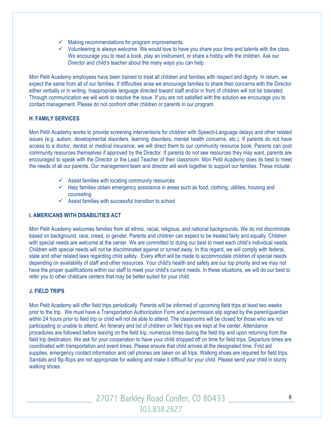- $\checkmark$  Making recommendations for program improvements.
- $\checkmark$  Volunteering is always welcome. We would love to have you share your time and talents with the class. We encourage you to read a book, play an instrument, or share a hobby with the children. Ask our Director and child's teacher about the many ways you can help.

Mon Petit Academy employees have been trained to treat all children and families with respect and dignity. In return, we expect the same from all of our families. If difficulties arise we encourage families to share their concerns with the Director either verbally or in writing. Inappropriate language directed toward staff and/or in front of children will not be tolerated. Through communication we will work to resolve the issue. If you are not satisfied with the solution we encourage you to contact management. Please do not confront other children or parents in our program.

#### **H. FAMILY SERVICES**

Mon Petit Academy works to provide screening interventions for children with Speech-Language delays and other related issues (e.g. autism, developmental disorders, learning disorders, mental health concerns, etc.). If parents do not have access to a doctor, dentist or medical insurance, we will direct them to our community resource book. Parents can post community resources themselves if approved by the Director. If parents do not see resources they may want, parents are encouraged to speak with the Director or the Lead Teacher of their classroom. Mon Petit Academy does its best to meet the needs of all our parents. Our management team and director will work together to support our families. These include:

- $\checkmark$  Assist families with locating community resources
- $\checkmark$  Help families obtain emergency assistance in areas such as food, clothing, utilities, housing and counseling
- $\checkmark$  Assist families with successful transition to school

#### **I. AMERICANS WITH DISABILITIES ACT**

Mon Petit Academy welcomes families from all ethnic, racial, religious, and national backgrounds. We do not discriminate based on background, race, creed, or gender. Parents and children can expect to be treated fairly and equally. Children with special needs are welcome at the center. We are committed to doing our best to meet each child's individual needs. Children with special needs will not be discriminated against or turned away. In this regard, we will comply with federal, state and other related laws regarding child safety. Every effort will be made to accommodate children of special needs depending on availability of staff and other resources. Your child's health and safety are our top priority and we may not have the proper qualifications within our staff to meet your child's current needs. In these situations, we will do our best to refer you to other childcare centers that may be better suited for your child.

#### **J. FIELD TRIPS**

Mon Petit Academy will offer field trips periodically. Parents will be informed of upcoming field trips at least two weeks prior to the trip. We must have a Transportation Authorization Form and a permission slip signed by the parent/guardian within 24 hours prior to field trip or child will not be able to attend. The classrooms will be closed for those who are not participating or unable to attend. An itinerary and list of children on field trips are kept at the center. Attendance procedures are followed before leaving on the field trip, numerous times during the field trip and upon returning from the field trip destination. We ask for your cooperation to have your child dropped off on time for field trips. Departure times are coordinated with transportation and event times. Please ensure that child arrives at the designated time. First aid supplies, emergency contact information and cell phones are taken on all trips. Walking shoes are required for field trips. Sandals and flip-flops are not appropriate for walking and make it difficult for your child. Please send your child in sturdy walking shoes.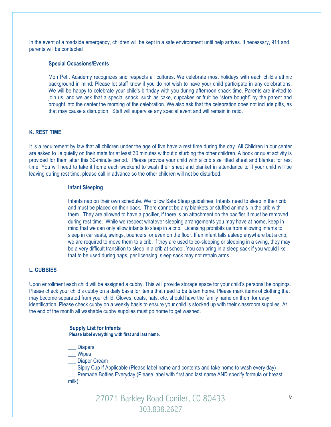In the event of a roadside emergency, children will be kept in a safe environment until help arrives. If necessary, 911 and parents will be contacted

#### **Special Occasions/Events**

Mon Petit Academy recognizes and respects all cultures. We celebrate most holidays with each child's ethnic background in mind. Please let staff know if you do not wish to have your child participate in any celebrations. We will be happy to celebrate your child's birthday with you during afternoon snack time. Parents are invited to join us, and we ask that a special snack, such as cake, cupcakes or fruit be "store bought" by the parent and brought into the center the morning of the celebration. We also ask that the celebration does not include gifts, as that may cause a disruption. Staff will supervise any special event and will remain in ratio.

#### **K. REST TIME**

.

It is a requirement by law that all children under the age of five have a rest time during the day. All Children in our center are asked to lie quietly on their mats for at least 30 minutes without disturbing the other children. A book or quiet activity is provided for them after this 30-minute period. Please provide your child with a crib size fitted sheet and blanket for rest time. You will need to take it home each weekend to wash their sheet and blanket in attendance to If your child will be leaving during rest time, please call in advance so the other children will not be disturbed.

#### **Infant Sleeping**

Infants nap on their own schedule. We follow Safe Sleep guidelines. Infants need to sleep in their crib and must be placed on their back. There cannot be any blankets or stuffed animals in the crib with them. They are allowed to have a pacifier, if there is an attachment on the pacifier it must be removed during rest time. While we respect whatever sleeping arrangements you may have at home, keep in mind that we can only allow infants to sleep in a crib. Licensing prohibits us from allowing infants to sleep in car seats, swings, bouncers, or even on the floor. If an infant falls asleep anywhere but a crib, we are required to move them to a crib. If they are used to co-sleeping or sleeping in a swing, they may be a very difficult transition to sleep in a crib at school. You can bring in a sleep sack if you would like that to be used during naps, per licensing, sleep sack may not retrain arms.

#### **L. CUBBIES**

Upon enrollment each child will be assigned a cubby. This will provide storage space for your child's personal belongings. Please check your child's cubby on a daily basis for items that need to be taken home. Please mark items of clothing that may become separated from your child. Gloves, coats, hats, etc. should have the family name on them for easy identification. Please check cubby on a weekly basis to ensure your child is stocked up with their classroom supplies. At the end of the month all washable cubby supplies must go home to get washed.

> **Supply List for Infants Please label everything with first and last name.**

\_\_\_ Diapers

\_\_\_ Wipes

Diaper Cream

\_\_\_ Sippy Cup if Applicable (Please label name and contents and take home to wash every day)

Premade Bottles Everyday (Please label with first and last name AND specify formula or breast milk)

<sup>9</sup> 27071 Barkley Road Conifer, C0 80433 303.838.2627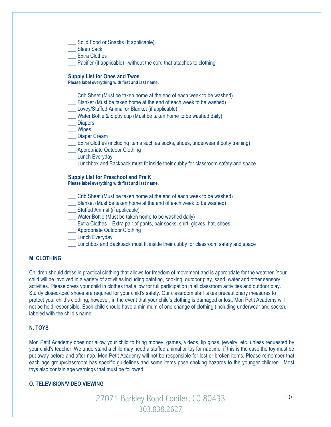- Solid Food or Snacks (If applicable)
- \_\_\_ Sleep Sack
- \_\_\_ Extra Clothes
- Pacifier (if applicable) –without the cord that attaches to clothing

#### **Supply List for Ones and Twos Please label everything with first and last name.**

- Crib Sheet (Must be taken home at the end of each week to be washed)
- Blanket (Must be taken home at the end of each week to be washed)
- \_\_\_ Lovey/Stuffed Animal or Blanket (if applicable)
- \_\_\_ Water Bottle & Sippy cup (Must be taken home to be washed daily)
- \_\_\_ Diapers
- \_\_\_ Wipes
- \_\_\_ Diaper Cream
- **Extra Clothes (including items such as socks, shoes, underwear if potty training)**
- \_\_\_ Appropriate Outdoor Clothing
- \_\_\_ Lunch Everyday
- Lunchbox and Backpack must fit inside their cubby for classroom safety and space

#### **Supply List for Preschool and Pre K Please label everything with first and last name.**

- Crib Sheet (Must be taken home at the end of each week to be washed)
- Blanket (Must be taken home at the end of each week to be washed)
- \_\_\_ Stuffed Animal (if applicable)
- \_\_\_ Water Bottle (Must be taken home to be washed daily)
- \_\_\_ Extra Clothes Extra pair of pants, pair socks, shirt, gloves, hat, shoes
- \_\_\_ Appropriate Outdoor Clothing
- \_\_\_ Lunch Everyday
- Lunchbox and Backpack must fit inside their cubby for classroom safety and space

#### **M. CLOTHING**

Children should dress in practical clothing that allows for freedom of movement and is appropriate for the weather. Your child will be involved in a variety of activities including painting, cooking, outdoor play, sand, water and other sensory activities. Please dress your child in clothes that allow for full participation in all classroom activities and outdoor play. Sturdy closed-toed shoes are required for your child's safety. Our classroom staff takes precautionary measures to protect your child's clothing; however, in the event that your child's clothing is damaged or lost, Mon Petit Academy will not be held responsible. Each child should have a minimum of one change of clothing (including underwear and socks), labeled with the child's name.

#### **N. TOYS**

Mon Petit Academy does not allow your child to bring money, games, videos, lip gloss, jewelry, etc. unless requested by your child's teacher. We understand a child may need a stuffed animal or toy for naptime, if this is the case the toy must be put away before and after nap. Mon Petit Academy will not be responsible for lost or broken items. Please remember that each age group/classroom has specific guidelines and some items pose choking hazards to the younger children. Most toys also contain age warnings that must be followed.

#### **O. TELEVISION/VIDEO VIEWING**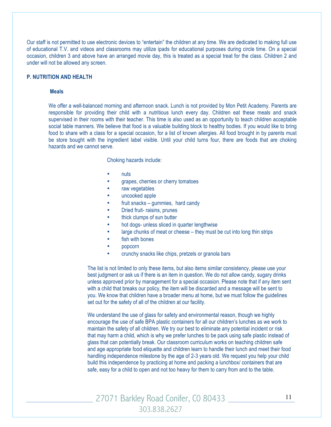Our staff is not permitted to use electronic devices to "entertain" the children at any time. We are dedicated to making full use of educational T.V. and videos and classrooms may utilize ipads for educational purposes during circle time. On a special occasion, children 3 and above have an arranged movie day, this is treated as a special treat for the class. Children 2 and under will not be allowed any screen.

#### **P. NUTRITION AND HEALTH**

#### **Meals**

We offer a well-balanced morning and afternoon snack. Lunch is not provided by Mon Petit Academy. Parents are responsible for providing their child with a nutritious lunch every day. Children eat these meals and snack supervised in their rooms with their teacher. This time is also used as an opportunity to teach children acceptable social table manners. We believe that food is a valuable building block to healthy bodies. If you would like to bring food to share with a class for a special occasion, for a list of known allergies. All food brought in by parents must be store bought with the ingredient label visible. Until your child turns four, there are foods that are choking hazards and we cannot serve.

Choking hazards include:

- nuts
- grapes, cherries or cherry tomatoes
- raw vegetables
- uncooked apple
- fruit snacks gummies, hard candy
- Dried fruit- raisins, prunes
- thick clumps of sun butter
- hot dogs- unless sliced in quarter lengthwise
- large chunks of meat or cheese they must be cut into long thin strips
- fish with bones
- popcorn
- crunchy snacks like chips, pretzels or granola bars

The list is not limited to only these items, but also items similar consistency, please use your best judgment or ask us if there is an item in question. We do not allow candy, sugary drinks unless approved prior by management for a special occasion. Please note that if any item sent with a child that breaks our policy, the item will be discarded and a message will be sent to you. We know that children have a broader menu at home, but we must follow the guidelines set out for the safety of all of the children at our facility.

We understand the use of glass for safety and environmental reason, though we highly encourage the use of safe BPA plastic containers for all our children's lunches as we work to maintain the safety of all children. We try our best to eliminate any potential incident or risk that may harm a child, which is why we prefer lunches to be pack using safe plastic instead of glass that can potentially break. Our classroom curriculum works on teaching children safe and age appropriate food etiquette and children learn to handle their lunch and meet their food handling independence milestone by the age of 2-3 years old. We request you help your child build this independence by practicing at home and packing a lunchbox/ containers that are safe, easy for a child to open and not too heavy for them to carry from and to the table.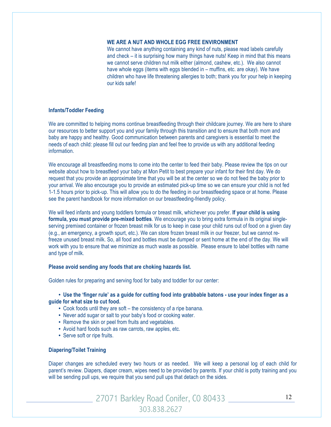#### **WE ARE A NUT AND WHOLE EGG FREE ENVIRONMENT**

We cannot have anything containing any kind of nuts, please read labels carefully and check – it is surprising how many things have nuts! Keep in mind that this means we cannot serve children nut milk either (almond, cashew, etc.). We also cannot have whole eggs (items with eggs blended in – muffins, etc. are okay). We have children who have life threatening allergies to both; thank you for your help in keeping our kids safe!

#### **Infants/Toddler Feeding**

We are committed to helping moms continue breastfeeding through their childcare journey. We are here to share our resources to better support you and your family through this transition and to ensure that both mom and baby are happy and healthy. Good communication between parents and caregivers is essential to meet the needs of each child: please fill out our feeding plan and feel free to provide us with any additional feeding information.

We encourage all breastfeeding moms to come into the center to feed their baby. Please review the tips on our website about how to breastfeed your baby at Mon Petit to best prepare your infant for their first day. We do request that you provide an approximate time that you will be at the center so we do not feed the baby prior to your arrival. We also encourage you to provide an estimated pick-up time so we can ensure your child is not fed 1-1.5 hours prior to pick-up. This will allow you to do the feeding in our breastfeeding space or at home. Please see the parent handbook for more information on our breastfeeding-friendly policy.

We will feed infants and young toddlers formula or breast milk, whichever you prefer. **If your child is using formula, you must provide pre-mixed bottles**. We encourage you to bring extra formula in its original singleserving premixed container or frozen breast milk for us to keep in case your child runs out of food on a given day (e.g., an emergency, a growth spurt, etc.). We can store frozen breast milk in our freezer, but we cannot refreeze unused breast milk. So, all food and bottles must be dumped or sent home at the end of the day. We will work with you to ensure that we minimize as much waste as possible. Please ensure to label bottles with name and type of milk.

#### **Please avoid sending any foods that are choking hazards list.**

Golden rules for preparing and serving food for baby and toddler for our center:

• **Use the 'finger rule' as a guide for cutting food into grabbable batons - use your index finger as a guide for what size to cut food.**

- Cook foods until they are soft the consistency of a ripe banana.
- Never add sugar or salt to your baby's food or cooking water.
- Remove the skin or peel from fruits and vegetables.
- Avoid hard foods such as raw carrots, raw apples, etc.
- Serve soft or ripe fruits.

#### **Diapering/Toilet Training**

Diaper changes are scheduled every two hours or as needed. We will keep a personal log of each child for parent's review. Diapers, diaper cream, wipes need to be provided by parents. If your child is potty training and you will be sending pull ups, we require that you send pull ups that detach on the sides.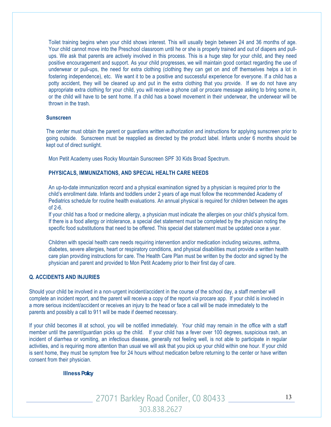Toilet training begins when your child shows interest. This will usually begin between 24 and 36 months of age. Your child cannot move into the Preschool classroom until he or she is properly trained and out of diapers and pullups. We ask that parents are actively involved in this process. This is a huge step for your child, and they need positive encouragement and support. As your child progresses, we will maintain good contact regarding the use of underwear or pull-ups, the need for extra clothing (clothing they can get on and off themselves helps a lot in fostering independence), etc. We want it to be a positive and successful experience for everyone. If a child has a potty accident, they will be cleaned up and put in the extra clothing that you provide. If we do not have any appropriate extra clothing for your child, you will receive a phone call or procare message asking to bring some in, or the child will have to be sent home. If a child has a bowel movement in their underwear, the underwear will be thrown in the trash.

#### **Sunscreen**

The center must obtain the parent or guardians written authorization and instructions for applying sunscreen prior to going outside. Sunscreen must be reapplied as directed by the product label. Infants under 6 months should be kept out of direct sunlight.

Mon Petit Academy uses Rocky Mountain Sunscreen SPF 30 Kids Broad Spectrum.

#### **PHYSICALS, IMMUNIZATIONS, AND SPECIAL HEALTH CARE NEEDS**

An up-to-date immunization record and a physical examination signed by a physician is required prior to the child's enrollment date. Infants and toddlers under 2 years of age must follow the recommended Academy of Pediatrics schedule for routine health evaluations. An annual physical is required for children between the ages of 2-6.

If your child has a food or medicine allergy, a physician must indicate the allergies on your child's physical form. If there is a food allergy or intolerance, a special diet statement must be completed by the physician noting the specific food substitutions that need to be offered. This special diet statement must be updated once a year.

Children with special health care needs requiring intervention and/or medication including seizures, asthma, diabetes, severe allergies, heart or respiratory conditions, and physical disabilities must provide a written health care plan providing instructions for care. The Health Care Plan must be written by the doctor and signed by the physician and parent and provided to Mon Petit Academy prior to their first day of care.

#### **Q. ACCIDENTS AND INJURIES**

Should your child be involved in a non-urgent incident/accident in the course of the school day, a staff member will complete an incident report, and the parent will receive a copy of the report via procare app. If your child is involved in a more serious incident/accident or receives an injury to the head or face a call will be made immediately to the parents and possibly a call to 911 will be made if deemed necessary.

If your child becomes ill at school, you will be notified immediately. Your child may remain in the office with a staff member until the parent/guardian picks up the child. If your child has a fever over 100 degrees, suspicious rash, an incident of diarrhea or vomiting, an infectious disease, generally not feeling well, is not able to participate in regular activities, and is requiring more attention than usual we will ask that you pick up your child within one hour. If your child is sent home, they must be symptom free for 24 hours without medication before returning to the center or have written consent from their physician.

#### **IllnessPolicy**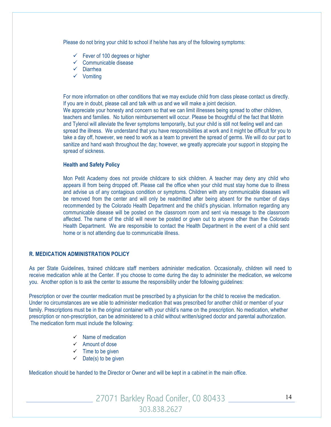Please do not bring your child to school if he/she has any of the following symptoms:

- $\checkmark$  Fever of 100 degrees or higher
- $\checkmark$  Communicable disease
- $\checkmark$  Diarrhea
- $\checkmark$  Vomiting

For more information on other conditions that we may exclude child from class please contact us directly. If you are in doubt, please call and talk with us and we will make a joint decision. We appreciate your honesty and concern so that we can limit illnesses being spread to other children, teachers and families. No tuition reimbursement will occur. Please be thoughtful of the fact that Motrin and Tylenol will alleviate the fever symptoms temporarily, but your child is still not feeling well and can spread the illness. We understand that you have responsibilities at work and it might be difficult for you to take a day off, however, we need to work as a team to prevent the spread of germs. We will do our part to sanitize and hand wash throughout the day; however, we greatly appreciate your support in stopping the

**Health and Safety Policy**

spread of sickness.

Mon Petit Academy does not provide childcare to sick children. A teacher may deny any child who appears ill from being dropped off. Please call the office when your child must stay home due to illness and advise us of any contagious condition or symptoms. Children with any communicable diseases will be removed from the center and will only be readmitted after being absent for the number of days recommended by the Colorado Health Department and the child's physician. Information regarding any communicable disease will be posted on the classroom room and sent via message to the classroom affected. The name of the child will never be posted or given out to anyone other than the Colorado Health Department. We are responsible to contact the Health Department in the event of a child sent home or is not attending due to communicable illness.

#### **R. MEDICATION ADMINISTRATION POLICY**

As per State Guidelines, trained childcare staff members administer medication. Occasionally, children will need to receive medication while at the Center. If you choose to come during the day to administer the medication, we welcome you. Another option is to ask the center to assume the responsibility under the following guidelines:

Prescription or over the counter medication must be prescribed by a physician for the child to receive the medication. Under no circumstances are we able to administer medication that was prescribed for another child or member of your family. Prescriptions must be in the original container with your child's name on the prescription. No medication, whether prescription or non-prescription, can be administered to a child without written/signed doctor and parental authorization. The medication form must include the following:

- $\checkmark$  Name of medication
- $\checkmark$  Amount of dose
- $\checkmark$  Time to be given
- $\checkmark$  Date(s) to be given

Medication should be handed to the Director or Owner and will be kept in a cabinet in the main office.

27071 Barkley Road Conifer, CO 80433 27071 Barkley Road Conifer, CO 80433 303.838.2627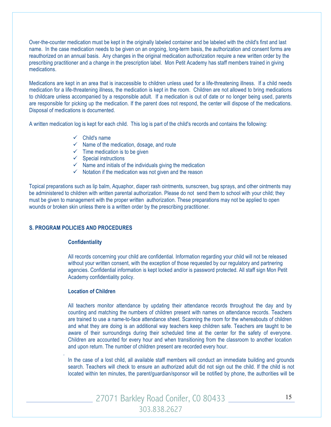Over-the-counter medication must be kept in the originally labeled container and be labeled with the child's first and last name. In the case medication needs to be given on an ongoing, long-term basis, the authorization and consent forms are reauthorized on an annual basis. Any changes in the original medication authorization require a new written order by the prescribing practitioner and a change in the prescription label. Mon Petit Academy has staff members trained in giving medications.

Medications are kept in an area that is inaccessible to children unless used for a life-threatening illness. If a child needs medication for a life-threatening illness, the medication is kept in the room. Children are not allowed to bring medications to childcare unless accompanied by a responsible adult. If a medication is out of date or no longer being used, parents are responsible for picking up the medication. If the parent does not respond, the center will dispose of the medications. Disposal of medications is documented.

A written medication log is kept for each child. This log is part of the child's records and contains the following:

- $\checkmark$  Child's name
- $\checkmark$  Name of the medication, dosage, and route
- $\checkmark$  Time medication is to be given
- $\checkmark$  Special instructions
- $\checkmark$  Name and initials of the individuals giving the medication
- $\checkmark$  Notation if the medication was not given and the reason

Topical preparations such as lip balm, Aquaphor, diaper rash ointments, sunscreen, bug sprays, and other ointments may be administered to children with written parental authorization. Please do not send them to school with your child; they must be given to management with the proper written authorization. These preparations may not be applied to open wounds or broken skin unless there is a written order by the prescribing practitioner.

#### **S. PROGRAM POLICIES AND PROCEDURES**

#### **Confidentiality**

All records concerning your child are confidential. Information regarding your child will not be released without your written consent, with the exception of those requested by our regulatory and partnering agencies. Confidential information is kept locked and/or is password protected. All staff sign Mon Petit Academy confidentiality policy.

#### **Location of Children**

.

All teachers monitor attendance by updating their attendance records throughout the day and by counting and matching the numbers of children present with names on attendance records. Teachers are trained to use a name-to-face attendance sheet. Scanning the room for the whereabouts of children and what they are doing is an additional way teachers keep children safe. Teachers are taught to be aware of their surroundings during their scheduled time at the center for the safety of everyone. Children are accounted for every hour and when transitioning from the classroom to another location and upon return. The number of children present are recorded every hour.

In the case of a lost child, all available staff members will conduct an immediate building and grounds search. Teachers will check to ensure an authorized adult did not sign out the child. If the child is not located within ten minutes, the parent/guardian/sponsor will be notified by phone, the authorities will be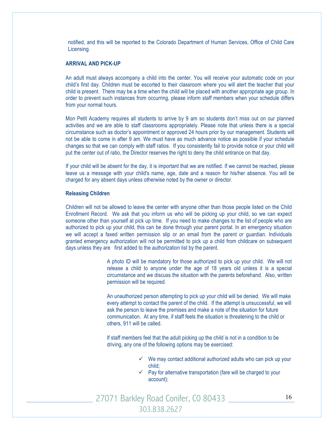notified, and this will be reported to the Colorado Department of Human Services, Office of Child Care Licensing.

#### **ARRIVAL AND PICK-UP**

An adult must always accompany a child into the center. You will receive your automatic code on your child's first day. Children must be escorted to their classroom where you will alert the teacher that your child is present. There may be a time when the child will be placed with another appropriate age group. In order to prevent such instances from occurring, please inform staff members when your schedule differs from your normal hours.

Mon Petit Academy requires all students to arrive by 9 am so students don't miss out on our planned activities and we are able to staff classrooms appropriately. Please note that unless there is a special circumstance such as doctor's appointment or approved 24 hours prior by our management. Students will not be able to come in after 9 am. We must have as much advance notice as possible if your schedule changes so that we can comply with staff ratios. If you consistently fail to provide notice or your child will put the center out of ratio, the Director reserves the right to deny the child entrance on that day.

If your child will be absent for the day, it is important that we are notified. If we cannot be reached, please leave us a message with your child's name, age, date and a reason for his/her absence. You will be charged for any absent days unless otherwise noted by the owner or director.

#### **Releasing Children**

Children will not be allowed to leave the center with anyone other than those people listed on the Child Enrollment Record. We ask that you inform us who will be picking up your child, so we can expect someone other than yourself at pick up time. If you need to make changes to the list of people who are authorized to pick up your child, this can be done through your parent portal. In an emergency situation we will accept a faxed written permission slip or an email from the parent or guardian. Individuals granted emergency authorization will not be permitted to pick up a child from childcare on subsequent days unless they are first added to the authorization list by the parent.

> A photo ID will be mandatory for those authorized to pick up your child. We will not release a child to anyone under the age of 18 years old unless it is a special circumstance and we discuss the situation with the parents beforehand. Also, written permission will be required.

> An unauthorized person attempting to pick up your child will be denied. We will make every attempt to contact the parent of the child. If the attempt is unsuccessful, we will ask the person to leave the premises and make a note of the situation for future communication. At any time, if staff feels the situation is threatening to the child or others, 911 will be called.

If staff members feel that the adult picking up the child is not in a condition to be driving, any one of the following options may be exercised:

- $\checkmark$  We may contact additional authorized adults who can pick up your child;
- $\checkmark$  Pay for alternative transportation (fare will be charged to your account);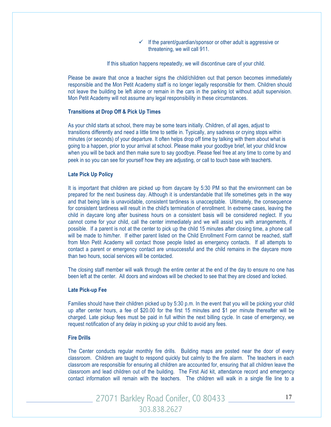$\checkmark$  If the parent/quardian/sponsor or other adult is aggressive or threatening, we will call 911.

If this situation happens repeatedly, we will discontinue care of your child.

Please be aware that once a teacher signs the child/children out that person becomes immediately responsible and the Mon Petit Academy staff is no longer legally responsible for them. Children should not leave the building be left alone or remain in the cars in the parking lot without adult supervision. Mon Petit Academy will not assume any legal responsibility in these circumstances.

#### **Transitions at Drop Off & Pick Up Times**

As your child starts at school, there may be some tears initially. Children, of all ages, adjust to transitions differently and need a little time to settle in. Typically, any sadness or crying stops within minutes (or seconds) of your departure. It often helps drop off time by talking with them about what is going to a happen, prior to your arrival at school. Please make your goodbye brief, let your child know when you will be back and then make sure to say goodbye. Please feel free at any time to come by and peek in so you can see for yourself how they are adjusting, or call to touch base with teachers.

#### **Late Pick Up Policy**

It is important that children are picked up from daycare by 5:30 PM so that the environment can be prepared for the next business day. Although it is understandable that life sometimes gets in the way and that being late is unavoidable, consistent tardiness is unacceptable. Ultimately, the consequence for consistent tardiness will result in the child's termination of enrollment. In extreme cases, leaving the child in daycare long after business hours on a consistent basis will be considered neglect. If you cannot come for your child, call the center immediately and we will assist you with arrangements, if possible. If a parent is not at the center to pick up the child 15 minutes after closing time, a phone call will be made to him/her. If either parent listed on the Child Enrollment Form cannot be reached, staff from Mon Petit Academy will contact those people listed as emergency contacts. If all attempts to contact a parent or emergency contact are unsuccessful and the child remains in the daycare more than two hours, social services will be contacted.

The closing staff member will walk through the entire center at the end of the day to ensure no one has been left at the center. All doors and windows will be checked to see that they are closed and locked.

#### **Late Pick-up Fee**

Families should have their children picked up by 5:30 p.m. In the event that you will be picking your child up after center hours, a fee of \$20.00 for the first 15 minutes and \$1 per minute thereafter will be charged. Late pickup fees must be paid in full within the next billing cycle. In case of emergency, we request notification of any delay in picking up your child to avoid any fees.

#### **Fire Drills**

The Center conducts regular monthly fire drills. Building maps are posted near the door of every classroom. Children are taught to respond quickly but calmly to the fire alarm. The teachers in each classroom are responsible for ensuring all children are accounted for, ensuring that all children leave the classroom and lead children out of the building. The First Aid kit, attendance record and emergency contact information will remain with the teachers. The children will walk in a single file line to a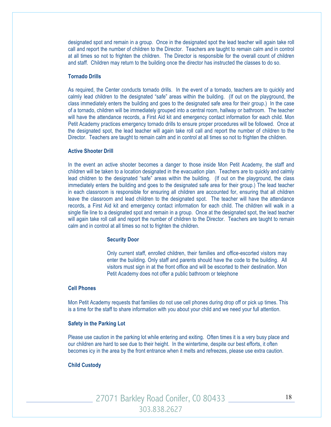designated spot and remain in a group. Once in the designated spot the lead teacher will again take roll call and report the number of children to the Director. Teachers are taught to remain calm and in control at all times so not to frighten the children. The Director is responsible for the overall count of children and staff. Children may return to the building once the director has instructed the classes to do so.

#### **Tornado Drills**

As required, the Center conducts tornado drills. In the event of a tornado, teachers are to quickly and calmly lead children to the designated "safe" areas within the building. (If out on the playground, the class immediately enters the building and goes to the designated safe area for their group.) In the case of a tornado, children will be immediately grouped into a central room, hallway or bathroom. The teacher will have the attendance records, a First Aid kit and emergency contact information for each child. Mon Petit Academy practices emergency tornado drills to ensure proper procedures will be followed. Once at the designated spot, the lead teacher will again take roll call and report the number of children to the Director. Teachers are taught to remain calm and in control at all times so not to frighten the children.

#### **Active Shooter Drill**

In the event an active shooter becomes a danger to those inside Mon Petit Academy, the staff and children will be taken to a location designated in the evacuation plan. Teachers are to quickly and calmly lead children to the designated "safe" areas within the building. (If out on the playground, the class immediately enters the building and goes to the designated safe area for their group.) The lead teacher in each classroom is responsible for ensuring all children are accounted for, ensuring that all children leave the classroom and lead children to the designated spot. The teacher will have the attendance records, a First Aid kit and emergency contact information for each child. The children will walk in a single file line to a designated spot and remain in a group. Once at the designated spot, the lead teacher will again take roll call and report the number of children to the Director. Teachers are taught to remain calm and in control at all times so not to frighten the children.

#### **Security Door**

Only current staff, enrolled children, their families and office-escorted visitors may enter the building. Only staff and parents should have the code to the building. All visitors must sign in at the front office and will be escorted to their destination. Mon Petit Academy does not offer a public bathroom or telephone

#### **Cell Phones**

Mon Petit Academy requests that families do not use cell phones during drop off or pick up times. This is a time for the staff to share information with you about your child and we need your full attention.

#### **Safety in the Parking Lot**

Please use caution in the parking lot while entering and exiting. Often times it is a very busy place and our children are hard to see due to their height. In the wintertime, despite our best efforts, it often becomes icy in the area by the front entrance when it melts and refreezes, please use extra caution.

#### **Child Custody**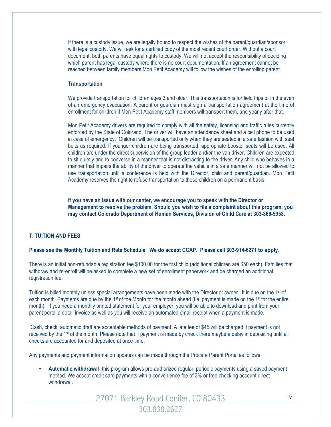If there is a custody issue, we are legally bound to respect the wishes of the parent/guardian/sponsor with legal custody. We will ask for a certified copy of the most recent court order. Without a court document, both parents have equal rights to custody. We will not accept the responsibility of deciding which parent has legal custody where there is no court documentation. If an agreement cannot be reached between family members Mon Petit Academy will follow the wishes of the enrolling parent.

#### **Transportation**

We provide transportation for children ages 3 and older. This transportation is for field trips or in the even of an emergency evacuation. A parent or guardian must sign a transportation agreement at the time of enrollment for children if Mon Petit Academy staff members will transport them, and yearly after that.

Mon Petit Academy drivers are required to comply with all the safety, licensing and traffic rules currently enforced by the State of Colorado. The driver will have an attendance sheet and a cell phone to be used in case of emergency. Children will be transported only when they are seated in a safe fashion with seat belts as required. If younger children are being transported, appropriate booster seats will be used. All children are under the direct supervision of the group leader and/or the van driver. Children are expected to sit quietly and to converse in a manner that is not distracting to the driver. Any child who behaves in a manner that impairs the ability of the driver to operate the vehicle in a safe manner will not be allowed to use transportation until a conference is held with the Director, child and parent/guardian. Mon Petit Academy reserves the right to refuse transportation to those children on a permanent basis.

**If you have an issue with our center, we encourage you to speak with the Director or Management to resolve the problem. Should you wish to file a complaint about this program, you may contact Colorado Department of Human Services, Division of Child Care at 303-866-5958.** 

#### **T. TUITION AND FEES**

**Please see the Monthly Tuition and Rate Schedule. We do accept CCAP. Please call 303-914-6271 to apply.** 

There is an initial non-refundable registration fee \$100.00 for the first child (additional children are \$50 each). Families that withdraw and re-enroll will be asked to complete a new set of enrollment paperwork and be charged an additional registration fee.

Tuition is billed monthly unless special arrangements have been made with the Director or owner. It is due on the 1st of each month. Payments are due by the 1<sup>st</sup> of the Month for the month ahead (i.e. payment is made on the 1<sup>st</sup> for the entire month). If you need a monthly printed statement for your employer, you will be able to download and print from your parent portal a detail invoice as well as you will receive an automated email receipt when a payment is made.

Cash, check, automatic draft are acceptable methods of payment. A late fee of \$45 will be charged if payment is not received by the 1<sup>st</sup> of the month. Please note that if payment is made by check there maybe a delay in depositing until all checks are accounted for and deposited at once time.

Any payments and payment information updates can be made through the Procare Parent Portal as follows:

• **Automatic withdrawal**- this program allows pre-authorized regular, periodic payments using a saved payment method. We accept credit card payments with a convenience fee of 3% or free checking account direct withdrawal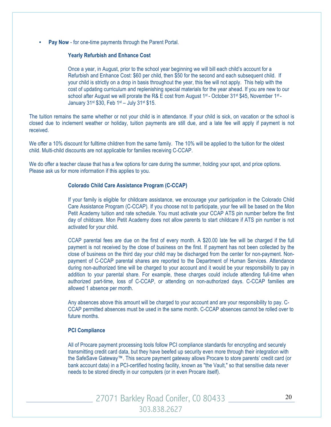**Pay Now** - for one-time payments through the Parent Portal.

#### **Yearly Refurbish and Enhance Cost**

Once a year, in August, prior to the school year beginning we will bill each child's account for a Refurbish and Enhance Cost: \$60 per child, then \$50 for the second and each subsequent child. If your child is strictly on a drop in basis throughout the year, this fee will not apply. This help with the cost of updating curriculum and replenishing special materials for the year ahead. If you are new to our school after August we will prorate the R& E cost from August  $1<sup>st</sup>$  - October 31<sup>st</sup> \$45, November 1<sup>st</sup> -January  $31^{st}$  \$30, Feb  $1^{st}$  – July  $31^{st}$  \$15.

The tuition remains the same whether or not your child is in attendance. If your child is sick, on vacation or the school is closed due to inclement weather or holiday, tuition payments are still due, and a late fee will apply if payment is not received.

We offer a 10% discount for fulltime children from the same family. The 10% will be applied to the tuition for the oldest child. Multi-child discounts are not applicable for families receiving C-CCAP.

We do offer a teacher clause that has a few options for care during the summer, holding your spot, and price options. Please ask us for more information if this applies to you.

#### **Colorado Child Care Assistance Program (C-CCAP)**

If your family is eligible for childcare assistance, we encourage your participation in the Colorado Child Care Assistance Program (C-CCAP). If you choose not to participate, your fee will be based on the Mon Petit Academy tuition and rate schedule. You must activate your CCAP ATS pin number before the first day of childcare. Mon Petit Academy does not allow parents to start childcare if ATS pin number is not activated for your child.

CCAP parental fees are due on the first of every month. A \$20.00 late fee will be charged if the full payment is not received by the close of business on the first. If payment has not been collected by the close of business on the third day your child may be discharged from the center for non-payment. Nonpayment of C-CCAP parental shares are reported to the Department of Human Services. Attendance during non-authorized time will be charged to your account and it would be your responsibility to pay in addition to your parental share. For example, these charges could include attending full-time when authorized part-time, loss of C-CCAP, or attending on non-authorized days. C-CCAP families are allowed 1 absence per month.

Any absences above this amount will be charged to your account and are your responsibility to pay. C-CCAP permitted absences must be used in the same month. C-CCAP absences cannot be rolled over to future months.

#### **PCI Compliance**

All of Procare payment processing tools follow PCI compliance standards for encrypting and securely transmitting credit card data, but they have beefed up security even more through their integration with the SafeSave Gateway™. This secure payment gateway allows Procare to store parents' credit card (or bank account data) in a PCI-certified hosting facility, known as "the Vault," so that sensitive data never needs to be stored directly in our computers (or in even Procare itself).

> 27071 Barkley Road Conifer, CO 80433 2020 303.838.2627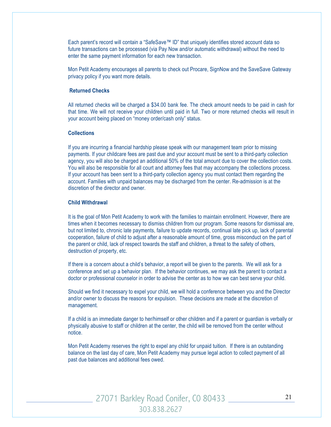Each parent's record will contain a "SafeSave™ ID" that uniquely identifies stored account data so future transactions can be processed (via Pay Now and/or automatic withdrawal) without the need to enter the same payment information for each new transaction.

Mon Petit Academy encourages all parents to check out Procare, SignNow and the SaveSave Gateway privacy policy if you want more details.

#### **Returned Checks**

All returned checks will be charged a \$34.00 bank fee. The check amount needs to be paid in cash for that time. We will not receive your children until paid in full. Two or more returned checks will result in your account being placed on "money order/cash only" status.

#### **Collections**

If you are incurring a financial hardship please speak with our management team prior to missing payments. If your childcare fees are past due and your account must be sent to a third-party collection agency, you will also be charged an additional 50% of the total amount due to cover the collection costs. You will also be responsible for all court and attorney fees that may accompany the collections process. If your account has been sent to a third-party collection agency you must contact them regarding the account. Families with unpaid balances may be discharged from the center. Re-admission is at the discretion of the director and owner.

#### **Child Withdrawal**

It is the goal of Mon Petit Academy to work with the families to maintain enrollment. However, there are times when it becomes necessary to dismiss children from our program. Some reasons for dismissal are, but not limited to, chronic late payments, failure to update records, continual late pick up, lack of parental cooperation, failure of child to adjust after a reasonable amount of time, gross misconduct on the part of the parent or child, lack of respect towards the staff and children, a threat to the safety of others, destruction of property, etc.

If there is a concern about a child's behavior, a report will be given to the parents. We will ask for a conference and set up a behavior plan. If the behavior continues, we may ask the parent to contact a doctor or professional counselor in order to advise the center as to how we can best serve your child.

Should we find it necessary to expel your child, we will hold a conference between you and the Director and/or owner to discuss the reasons for expulsion. These decisions are made at the discretion of management.

If a child is an immediate danger to her/himself or other children and if a parent or guardian is verbally or physically abusive to staff or children at the center, the child will be removed from the center without notice.

Mon Petit Academy reserves the right to expel any child for unpaid tuition. If there is an outstanding balance on the last day of care, Mon Petit Academy may pursue legal action to collect payment of all past due balances and additional fees owed.